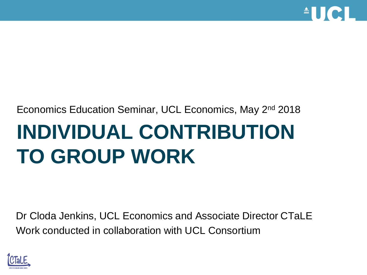

# **INDIVIDUAL CONTRIBUTION TO GROUP WORK** Economics Education Seminar, UCL Economics, May 2nd 2018

Dr Cloda Jenkins, UCL Economics and Associate Director CTaLE Work conducted in collaboration with UCL Consortium

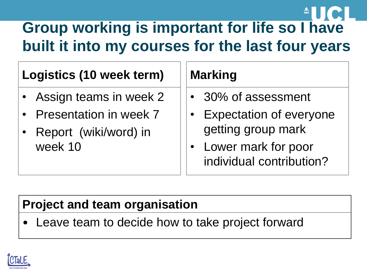# **Group working is important for life so I have built it into my courses for the last four years**

#### **Logistics (10 week term)**

- Assign teams in week 2
- Presentation in week 7
- Report (wiki/word) in week 10

#### **Marking**

- 30% of assessment
- **Expectation of everyone** getting group mark
- Lower mark for poor individual contribution?

#### **Project and team organisation**

Leave team to decide how to take project forward

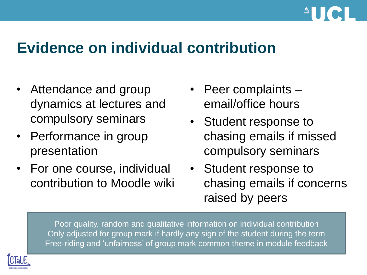

#### **Evidence on individual contribution**

- Attendance and group dynamics at lectures and compulsory seminars
- Performance in group presentation
- For one course, individual contribution to Moodle wiki
- Peer complaints email/office hours
- Student response to chasing emails if missed compulsory seminars
- Student response to chasing emails if concerns raised by peers

Poor quality, random and qualitative information on individual contribution Only adjusted for group mark if hardly any sign of the student during the term Free-riding and 'unfairness' of group mark common theme in module feedback

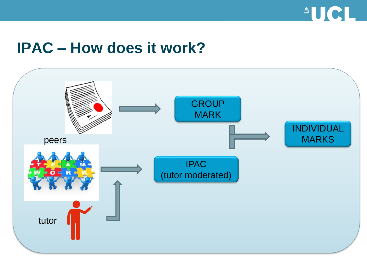

#### **IPAC – How does it work?**

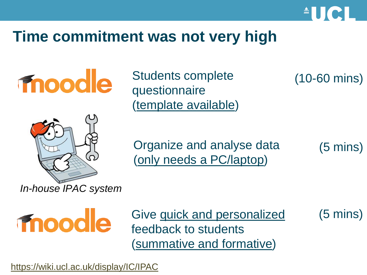

#### **Time commitment was not very high**



Students complete questionnaire (template available)

(10-60 mins)



Organize and analyse data (only needs a PC/laptop)

(5 mins)

moodle

Give quick and personalized feedback to students (summative and formative)

(5 mins)

<https://wiki.ucl.ac.uk/display/IC/IPAC>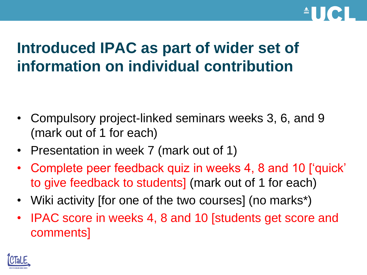

# **Introduced IPAC as part of wider set of information on individual contribution**

- Compulsory project-linked seminars weeks 3, 6, and 9 (mark out of 1 for each)
- Presentation in week 7 (mark out of 1)
- Complete peer feedback quiz in weeks 4, 8 and 10 ['quick' to give feedback to students] (mark out of 1 for each)
- Wiki activity ffor one of the two courses (no marks<sup>\*</sup>)
- IPAC score in weeks 4, 8 and 10 [students get score and comments]

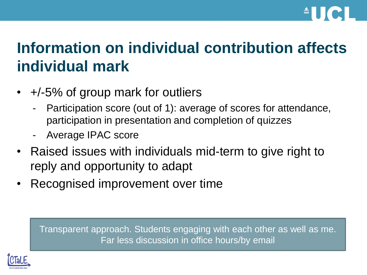

# **Information on individual contribution affects individual mark**

- +/-5% of group mark for outliers
	- Participation score (out of 1): average of scores for attendance, participation in presentation and completion of quizzes
	- Average IPAC score
- Raised issues with individuals mid-term to give right to reply and opportunity to adapt
- Recognised improvement over time

Transparent approach. Students engaging with each other as well as me. Far less discussion in office hours/by email

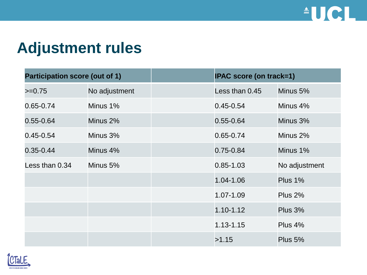

## **Adjustment rules**

| <b>Participation score (out of 1)</b> |               | <b>IPAC score (on track=1)</b> |                |
|---------------------------------------|---------------|--------------------------------|----------------|
| $>=0.75$                              | No adjustment | Less than 0.45                 | Minus 5%       |
| 0.65-0.74                             | Minus 1%      | $0.45 - 0.54$                  | Minus 4%       |
| $0.55 - 0.64$                         | Minus 2%      | $0.55 - 0.64$                  | Minus 3%       |
| $0.45 - 0.54$                         | Minus 3%      | 0.65-0.74                      | Minus 2%       |
| $0.35 - 0.44$                         | Minus 4%      | $0.75 - 0.84$                  | Minus 1%       |
| Less than 0.34                        | Minus 5%      | $0.85 - 1.03$                  | No adjustment  |
|                                       |               | 1.04-1.06                      | Plus $1\%$     |
|                                       |               | 1.07-1.09                      | <b>Plus 2%</b> |
|                                       |               | $1.10 - 1.12$                  | Plus 3%        |
|                                       |               | 1.13-1.15                      | Plus 4%        |
|                                       |               | >1.15                          | Plus 5%        |

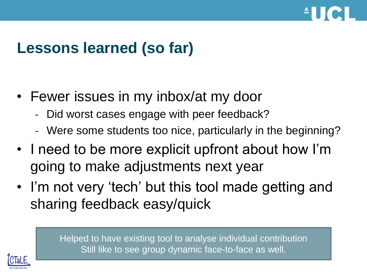

# **Lessons learned (so far)**

- Fewer issues in my inbox/at my door
	- Did worst cases engage with peer feedback?
	- Were some students too nice, particularly in the beginning?
- I need to be more explicit upfront about how I'm going to make adjustments next year
- I'm not very 'tech' but this tool made getting and sharing feedback easy/quick

Helped to have existing tool to analyse individual contribution Still like to see group dynamic face-to-face as well.

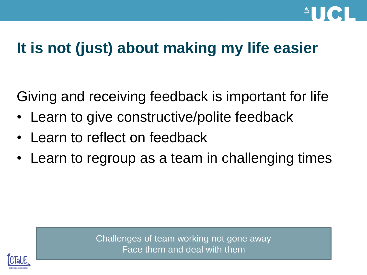

# **It is not (just) about making my life easier**

Giving and receiving feedback is important for life

- Learn to give constructive/polite feedback
- Learn to reflect on feedback
- Learn to regroup as a team in challenging times